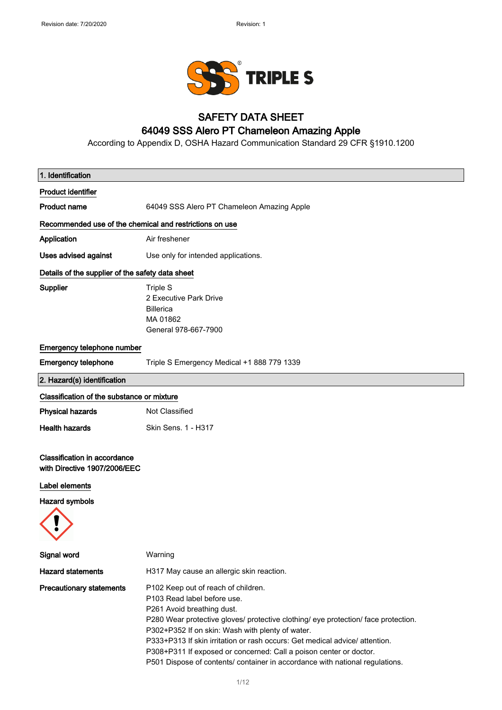

### SAFETY DATA SHEET

### 64049 SSS Alero PT Chameleon Amazing Apple

According to Appendix D, OSHA Hazard Communication Standard 29 CFR §1910.1200

| 1. Identification                                                   |                                                                                                                                                                                                                                                                                                                                                                                                                                                                                 |
|---------------------------------------------------------------------|---------------------------------------------------------------------------------------------------------------------------------------------------------------------------------------------------------------------------------------------------------------------------------------------------------------------------------------------------------------------------------------------------------------------------------------------------------------------------------|
| <b>Product identifier</b>                                           |                                                                                                                                                                                                                                                                                                                                                                                                                                                                                 |
| <b>Product name</b>                                                 | 64049 SSS Alero PT Chameleon Amazing Apple                                                                                                                                                                                                                                                                                                                                                                                                                                      |
| Recommended use of the chemical and restrictions on use             |                                                                                                                                                                                                                                                                                                                                                                                                                                                                                 |
| Application                                                         | Air freshener                                                                                                                                                                                                                                                                                                                                                                                                                                                                   |
| <b>Uses advised against</b>                                         | Use only for intended applications.                                                                                                                                                                                                                                                                                                                                                                                                                                             |
| Details of the supplier of the safety data sheet                    |                                                                                                                                                                                                                                                                                                                                                                                                                                                                                 |
| <b>Supplier</b>                                                     | Triple S<br>2 Executive Park Drive<br><b>Billerica</b><br>MA 01862<br>General 978-667-7900                                                                                                                                                                                                                                                                                                                                                                                      |
| Emergency telephone number                                          |                                                                                                                                                                                                                                                                                                                                                                                                                                                                                 |
| <b>Emergency telephone</b>                                          | Triple S Emergency Medical +1 888 779 1339                                                                                                                                                                                                                                                                                                                                                                                                                                      |
| 2. Hazard(s) identification                                         |                                                                                                                                                                                                                                                                                                                                                                                                                                                                                 |
| Classification of the substance or mixture                          |                                                                                                                                                                                                                                                                                                                                                                                                                                                                                 |
| <b>Physical hazards</b>                                             | Not Classified                                                                                                                                                                                                                                                                                                                                                                                                                                                                  |
| <b>Health hazards</b>                                               | Skin Sens. 1 - H317                                                                                                                                                                                                                                                                                                                                                                                                                                                             |
| <b>Classification in accordance</b><br>with Directive 1907/2006/EEC |                                                                                                                                                                                                                                                                                                                                                                                                                                                                                 |
| Label elements                                                      |                                                                                                                                                                                                                                                                                                                                                                                                                                                                                 |
| <b>Hazard symbols</b>                                               |                                                                                                                                                                                                                                                                                                                                                                                                                                                                                 |
| Signal word                                                         | Warning                                                                                                                                                                                                                                                                                                                                                                                                                                                                         |
| <b>Hazard statements</b>                                            | H317 May cause an allergic skin reaction.                                                                                                                                                                                                                                                                                                                                                                                                                                       |
| <b>Precautionary statements</b>                                     | P102 Keep out of reach of children.<br>P103 Read label before use.<br>P261 Avoid breathing dust.<br>P280 Wear protective gloves/ protective clothing/ eye protection/ face protection.<br>P302+P352 If on skin: Wash with plenty of water.<br>P333+P313 If skin irritation or rash occurs: Get medical advice/ attention.<br>P308+P311 If exposed or concerned: Call a poison center or doctor.<br>P501 Dispose of contents/ container in accordance with national regulations. |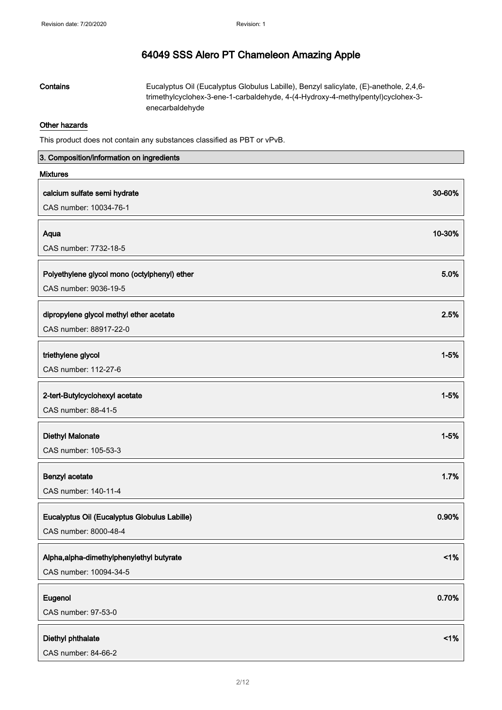Contains Eucalyptus Oil (Eucalyptus Globulus Labille), Benzyl salicylate, (E)-anethole, 2,4,6 trimethylcyclohex-3-ene-1-carbaldehyde, 4-(4-Hydroxy-4-methylpentyl)cyclohex-3 enecarbaldehyde

### Other hazards

This product does not contain any substances classified as PBT or vPvB.

| 3. Composition/information on ingredients    |          |
|----------------------------------------------|----------|
| <b>Mixtures</b>                              |          |
| calcium sulfate semi hydrate                 | 30-60%   |
| CAS number: 10034-76-1                       |          |
|                                              |          |
| Aqua                                         | 10-30%   |
| CAS number: 7732-18-5                        |          |
| Polyethylene glycol mono (octylphenyl) ether | 5.0%     |
| CAS number: 9036-19-5                        |          |
|                                              |          |
| dipropylene glycol methyl ether acetate      | 2.5%     |
| CAS number: 88917-22-0                       |          |
| triethylene glycol                           | $1 - 5%$ |
| CAS number: 112-27-6                         |          |
| 2-tert-Butylcyclohexyl acetate               | $1 - 5%$ |
| CAS number: 88-41-5                          |          |
|                                              |          |
| <b>Diethyl Malonate</b>                      | $1 - 5%$ |
| CAS number: 105-53-3                         |          |
| Benzyl acetate                               | 1.7%     |
| CAS number: 140-11-4                         |          |
|                                              |          |
| Eucalyptus Oil (Eucalyptus Globulus Labille) | 0.90%    |
| CAS number: 8000-48-4                        |          |
|                                              |          |
| Alpha, alpha-dimethylphenylethyl butyrate    | 1%       |
| CAS number: 10094-34-5                       |          |
| Eugenol                                      | 0.70%    |
| CAS number: 97-53-0                          |          |
|                                              |          |
| Diethyl phthalate<br>CAS number: 84-66-2     | 1%       |
|                                              |          |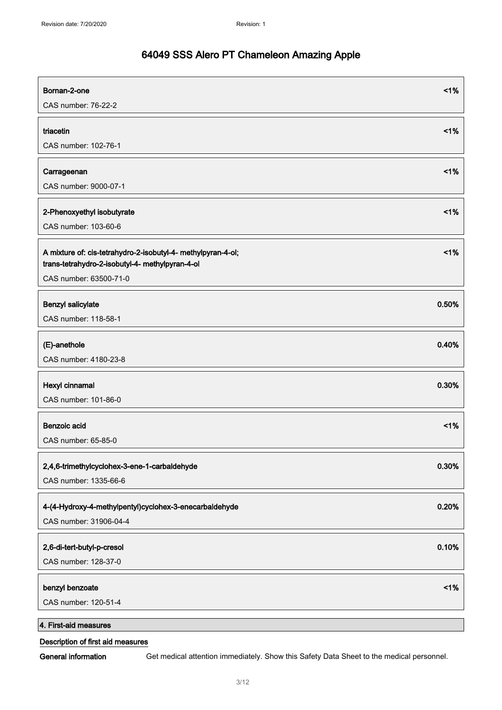| Bornan-2-one<br>CAS number: 76-22-2                                                                             | 1%    |
|-----------------------------------------------------------------------------------------------------------------|-------|
| triacetin                                                                                                       | 1%    |
| CAS number: 102-76-1                                                                                            |       |
| Carrageenan                                                                                                     | 1%    |
| CAS number: 9000-07-1                                                                                           |       |
| 2-Phenoxyethyl isobutyrate                                                                                      | 1%    |
| CAS number: 103-60-6                                                                                            |       |
| A mixture of: cis-tetrahydro-2-isobutyl-4- methylpyran-4-ol;<br>trans-tetrahydro-2-isobutyl-4- methylpyran-4-ol | 1%    |
| CAS number: 63500-71-0                                                                                          |       |
| Benzyl salicylate                                                                                               | 0.50% |
| CAS number: 118-58-1                                                                                            |       |
| (E)-anethole                                                                                                    | 0.40% |
| CAS number: 4180-23-8                                                                                           |       |
| Hexyl cinnamal                                                                                                  | 0.30% |
| CAS number: 101-86-0                                                                                            |       |
| Benzoic acid                                                                                                    | 1%    |
| CAS number: 65-85-0                                                                                             |       |
| 2,4,6-trimethylcyclohex-3-ene-1-carbaldehyde                                                                    | 0.30% |
| CAS number: 1335-66-6                                                                                           |       |
| 4-(4-Hydroxy-4-methylpentyl)cyclohex-3-enecarbaldehyde                                                          | 0.20% |
| CAS number: 31906-04-4                                                                                          |       |
| 2,6-di-tert-butyl-p-cresol                                                                                      | 0.10% |
| CAS number: 128-37-0                                                                                            |       |
| benzyl benzoate                                                                                                 | 1%    |
| CAS number: 120-51-4                                                                                            |       |
| 4. First-aid measures                                                                                           |       |

### Description of first aid measures

General information Get medical attention immediately. Show this Safety Data Sheet to the medical personnel.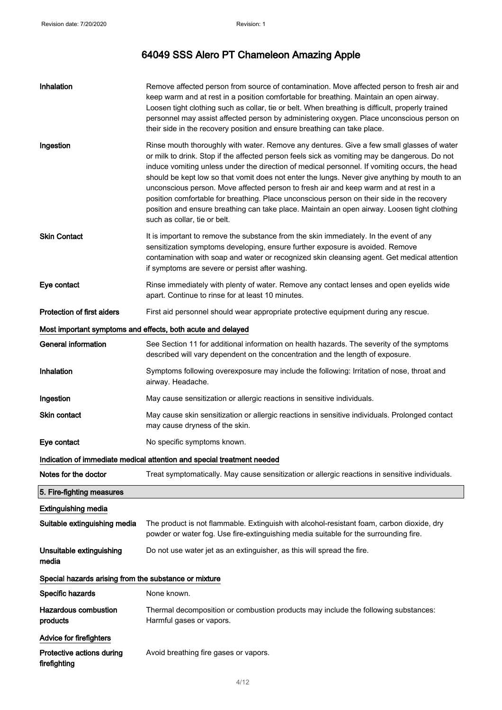| Inhalation                                                  | Remove affected person from source of contamination. Move affected person to fresh air and<br>keep warm and at rest in a position comfortable for breathing. Maintain an open airway.<br>Loosen tight clothing such as collar, tie or belt. When breathing is difficult, properly trained<br>personnel may assist affected person by administering oxygen. Place unconscious person on<br>their side in the recovery position and ensure breathing can take place.                                                                                                                                                                                                                                                 |  |
|-------------------------------------------------------------|--------------------------------------------------------------------------------------------------------------------------------------------------------------------------------------------------------------------------------------------------------------------------------------------------------------------------------------------------------------------------------------------------------------------------------------------------------------------------------------------------------------------------------------------------------------------------------------------------------------------------------------------------------------------------------------------------------------------|--|
| Ingestion                                                   | Rinse mouth thoroughly with water. Remove any dentures. Give a few small glasses of water<br>or milk to drink. Stop if the affected person feels sick as vomiting may be dangerous. Do not<br>induce vomiting unless under the direction of medical personnel. If vomiting occurs, the head<br>should be kept low so that vomit does not enter the lungs. Never give anything by mouth to an<br>unconscious person. Move affected person to fresh air and keep warm and at rest in a<br>position comfortable for breathing. Place unconscious person on their side in the recovery<br>position and ensure breathing can take place. Maintain an open airway. Loosen tight clothing<br>such as collar, tie or belt. |  |
| <b>Skin Contact</b>                                         | It is important to remove the substance from the skin immediately. In the event of any<br>sensitization symptoms developing, ensure further exposure is avoided. Remove<br>contamination with soap and water or recognized skin cleansing agent. Get medical attention<br>if symptoms are severe or persist after washing.                                                                                                                                                                                                                                                                                                                                                                                         |  |
| Eye contact                                                 | Rinse immediately with plenty of water. Remove any contact lenses and open eyelids wide<br>apart. Continue to rinse for at least 10 minutes.                                                                                                                                                                                                                                                                                                                                                                                                                                                                                                                                                                       |  |
| <b>Protection of first aiders</b>                           | First aid personnel should wear appropriate protective equipment during any rescue.                                                                                                                                                                                                                                                                                                                                                                                                                                                                                                                                                                                                                                |  |
| Most important symptoms and effects, both acute and delayed |                                                                                                                                                                                                                                                                                                                                                                                                                                                                                                                                                                                                                                                                                                                    |  |
| <b>General information</b>                                  | See Section 11 for additional information on health hazards. The severity of the symptoms<br>described will vary dependent on the concentration and the length of exposure.                                                                                                                                                                                                                                                                                                                                                                                                                                                                                                                                        |  |
| Inhalation                                                  | Symptoms following overexposure may include the following: Irritation of nose, throat and<br>airway. Headache.                                                                                                                                                                                                                                                                                                                                                                                                                                                                                                                                                                                                     |  |
| Ingestion                                                   | May cause sensitization or allergic reactions in sensitive individuals.                                                                                                                                                                                                                                                                                                                                                                                                                                                                                                                                                                                                                                            |  |
| Skin contact                                                | May cause skin sensitization or allergic reactions in sensitive individuals. Prolonged contact<br>may cause dryness of the skin.                                                                                                                                                                                                                                                                                                                                                                                                                                                                                                                                                                                   |  |
| Eye contact                                                 | No specific symptoms known.                                                                                                                                                                                                                                                                                                                                                                                                                                                                                                                                                                                                                                                                                        |  |
|                                                             | Indication of immediate medical attention and special treatment needed                                                                                                                                                                                                                                                                                                                                                                                                                                                                                                                                                                                                                                             |  |
| Notes for the doctor                                        | Treat symptomatically. May cause sensitization or allergic reactions in sensitive individuals.                                                                                                                                                                                                                                                                                                                                                                                                                                                                                                                                                                                                                     |  |
| 5. Fire-fighting measures                                   |                                                                                                                                                                                                                                                                                                                                                                                                                                                                                                                                                                                                                                                                                                                    |  |
| <b>Extinguishing media</b>                                  |                                                                                                                                                                                                                                                                                                                                                                                                                                                                                                                                                                                                                                                                                                                    |  |
| Suitable extinguishing media                                | The product is not flammable. Extinguish with alcohol-resistant foam, carbon dioxide, dry<br>powder or water fog. Use fire-extinguishing media suitable for the surrounding fire.                                                                                                                                                                                                                                                                                                                                                                                                                                                                                                                                  |  |
| Unsuitable extinguishing<br>media                           | Do not use water jet as an extinguisher, as this will spread the fire.                                                                                                                                                                                                                                                                                                                                                                                                                                                                                                                                                                                                                                             |  |
| Special hazards arising from the substance or mixture       |                                                                                                                                                                                                                                                                                                                                                                                                                                                                                                                                                                                                                                                                                                                    |  |
| Specific hazards                                            | None known.                                                                                                                                                                                                                                                                                                                                                                                                                                                                                                                                                                                                                                                                                                        |  |
| <b>Hazardous combustion</b><br>products                     | Thermal decomposition or combustion products may include the following substances:<br>Harmful gases or vapors.                                                                                                                                                                                                                                                                                                                                                                                                                                                                                                                                                                                                     |  |
| <b>Advice for firefighters</b>                              |                                                                                                                                                                                                                                                                                                                                                                                                                                                                                                                                                                                                                                                                                                                    |  |
| Protective actions during<br>firefighting                   | Avoid breathing fire gases or vapors.                                                                                                                                                                                                                                                                                                                                                                                                                                                                                                                                                                                                                                                                              |  |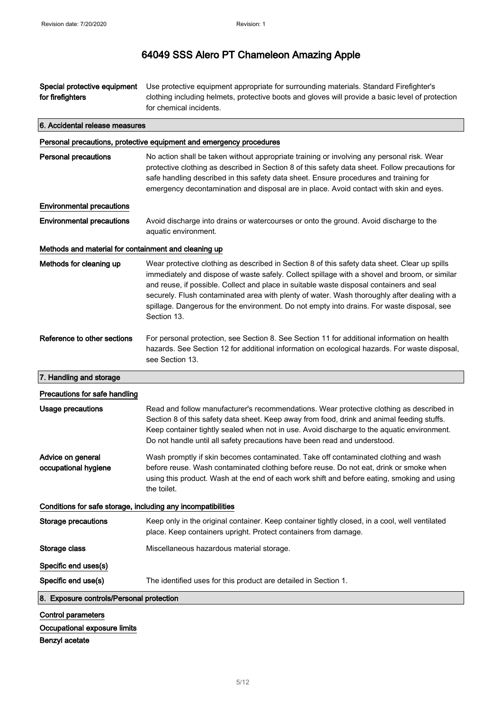| Special protective equipment<br>for firefighters             | Use protective equipment appropriate for surrounding materials. Standard Firefighter's<br>clothing including helmets, protective boots and gloves will provide a basic level of protection<br>for chemical incidents.                                                                                                                                                                                                                                                                                   |
|--------------------------------------------------------------|---------------------------------------------------------------------------------------------------------------------------------------------------------------------------------------------------------------------------------------------------------------------------------------------------------------------------------------------------------------------------------------------------------------------------------------------------------------------------------------------------------|
| 6. Accidental release measures                               |                                                                                                                                                                                                                                                                                                                                                                                                                                                                                                         |
|                                                              | Personal precautions, protective equipment and emergency procedures                                                                                                                                                                                                                                                                                                                                                                                                                                     |
| <b>Personal precautions</b>                                  | No action shall be taken without appropriate training or involving any personal risk. Wear<br>protective clothing as described in Section 8 of this safety data sheet. Follow precautions for<br>safe handling described in this safety data sheet. Ensure procedures and training for<br>emergency decontamination and disposal are in place. Avoid contact with skin and eyes.                                                                                                                        |
| <b>Environmental precautions</b>                             |                                                                                                                                                                                                                                                                                                                                                                                                                                                                                                         |
| <b>Environmental precautions</b>                             | Avoid discharge into drains or watercourses or onto the ground. Avoid discharge to the<br>aquatic environment.                                                                                                                                                                                                                                                                                                                                                                                          |
| Methods and material for containment and cleaning up         |                                                                                                                                                                                                                                                                                                                                                                                                                                                                                                         |
| Methods for cleaning up                                      | Wear protective clothing as described in Section 8 of this safety data sheet. Clear up spills<br>immediately and dispose of waste safely. Collect spillage with a shovel and broom, or similar<br>and reuse, if possible. Collect and place in suitable waste disposal containers and seal<br>securely. Flush contaminated area with plenty of water. Wash thoroughly after dealing with a<br>spillage. Dangerous for the environment. Do not empty into drains. For waste disposal, see<br>Section 13. |
| Reference to other sections                                  | For personal protection, see Section 8. See Section 11 for additional information on health<br>hazards. See Section 12 for additional information on ecological hazards. For waste disposal,<br>see Section 13.                                                                                                                                                                                                                                                                                         |
| 7. Handling and storage                                      |                                                                                                                                                                                                                                                                                                                                                                                                                                                                                                         |
| Precautions for safe handling                                |                                                                                                                                                                                                                                                                                                                                                                                                                                                                                                         |
| <b>Usage precautions</b>                                     | Read and follow manufacturer's recommendations. Wear protective clothing as described in<br>Section 8 of this safety data sheet. Keep away from food, drink and animal feeding stuffs.<br>Keep container tightly sealed when not in use. Avoid discharge to the aquatic environment.<br>Do not handle until all safety precautions have been read and understood.                                                                                                                                       |
| Advice on general<br>occupational hygiene                    | Wash promptly if skin becomes contaminated. Take off contaminated clothing and wash<br>before reuse. Wash contaminated clothing before reuse. Do not eat, drink or smoke when<br>using this product. Wash at the end of each work shift and before eating, smoking and using<br>the toilet.                                                                                                                                                                                                             |
| Conditions for safe storage, including any incompatibilities |                                                                                                                                                                                                                                                                                                                                                                                                                                                                                                         |
| <b>Storage precautions</b>                                   | Keep only in the original container. Keep container tightly closed, in a cool, well ventilated<br>place. Keep containers upright. Protect containers from damage.                                                                                                                                                                                                                                                                                                                                       |
| Storage class                                                | Miscellaneous hazardous material storage.                                                                                                                                                                                                                                                                                                                                                                                                                                                               |
| Specific end uses(s)                                         |                                                                                                                                                                                                                                                                                                                                                                                                                                                                                                         |
| Specific end use(s)                                          | The identified uses for this product are detailed in Section 1.                                                                                                                                                                                                                                                                                                                                                                                                                                         |
| 8. Exposure controls/Personal protection                     |                                                                                                                                                                                                                                                                                                                                                                                                                                                                                                         |
| <b>Control parameters</b>                                    |                                                                                                                                                                                                                                                                                                                                                                                                                                                                                                         |
| Occupational exposure limits<br>Benzyl acetate               |                                                                                                                                                                                                                                                                                                                                                                                                                                                                                                         |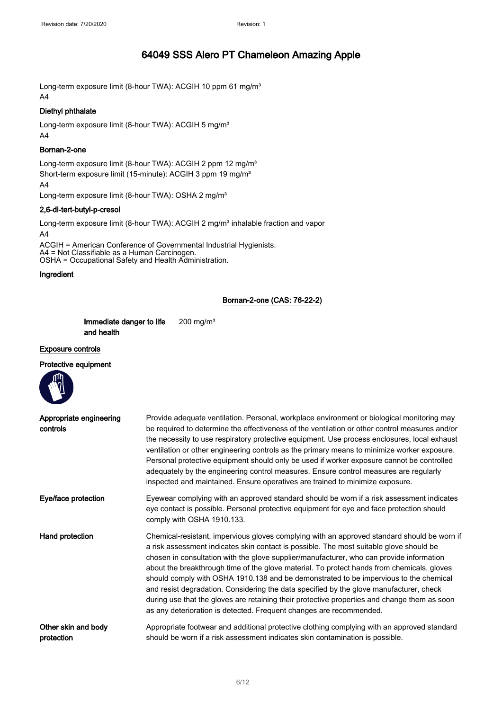Long-term exposure limit (8-hour TWA): ACGIH 10 ppm 61 mg/m<sup>3</sup> A4

### Diethyl phthalate

Long-term exposure limit (8-hour TWA): ACGIH 5 mg/m<sup>3</sup> A4

#### Bornan-2-one

Long-term exposure limit (8-hour TWA): ACGIH 2 ppm 12 mg/m<sup>3</sup> Short-term exposure limit (15-minute): ACGIH 3 ppm 19 mg/m<sup>3</sup>

A4

Long-term exposure limit (8-hour TWA): OSHA 2 mg/m<sup>3</sup>

#### 2,6-di-tert-butyl-p-cresol

Long-term exposure limit (8-hour TWA): ACGIH 2 mg/m<sup>3</sup> inhalable fraction and vapor A4

ACGIH = American Conference of Governmental Industrial Hygienists. A4 = Not Classifiable as a Human Carcinogen. OSHA = Occupational Safety and Health Administration.

#### Ingredient

### Bornan-2-one (CAS: 76-22-2)

| Immediate danger to life | $200$ mg/m <sup>3</sup> |
|--------------------------|-------------------------|
| and health               |                         |

#### Exposure controls

### Protective equipment

| Protective equipment                |                                                                                                                                                                                                                                                                                                                                                                                                                                                                                                                                                                                                                                                                                                                                             |
|-------------------------------------|---------------------------------------------------------------------------------------------------------------------------------------------------------------------------------------------------------------------------------------------------------------------------------------------------------------------------------------------------------------------------------------------------------------------------------------------------------------------------------------------------------------------------------------------------------------------------------------------------------------------------------------------------------------------------------------------------------------------------------------------|
| Appropriate engineering<br>controls | Provide adequate ventilation. Personal, workplace environment or biological monitoring may<br>be required to determine the effectiveness of the ventilation or other control measures and/or<br>the necessity to use respiratory protective equipment. Use process enclosures, local exhaust<br>ventilation or other engineering controls as the primary means to minimize worker exposure.<br>Personal protective equipment should only be used if worker exposure cannot be controlled<br>adequately by the engineering control measures. Ensure control measures are regularly<br>inspected and maintained. Ensure operatives are trained to minimize exposure.                                                                          |
| Eye/face protection                 | Eyewear complying with an approved standard should be worn if a risk assessment indicates<br>eye contact is possible. Personal protective equipment for eye and face protection should<br>comply with OSHA 1910.133.                                                                                                                                                                                                                                                                                                                                                                                                                                                                                                                        |
| Hand protection                     | Chemical-resistant, impervious gloves complying with an approved standard should be worn if<br>a risk assessment indicates skin contact is possible. The most suitable glove should be<br>chosen in consultation with the glove supplier/manufacturer, who can provide information<br>about the breakthrough time of the glove material. To protect hands from chemicals, gloves<br>should comply with OSHA 1910.138 and be demonstrated to be impervious to the chemical<br>and resist degradation. Considering the data specified by the glove manufacturer, check<br>during use that the gloves are retaining their protective properties and change them as soon<br>as any deterioration is detected. Frequent changes are recommended. |
| Other skin and body<br>protection   | Appropriate footwear and additional protective clothing complying with an approved standard<br>should be worn if a risk assessment indicates skin contamination is possible.                                                                                                                                                                                                                                                                                                                                                                                                                                                                                                                                                                |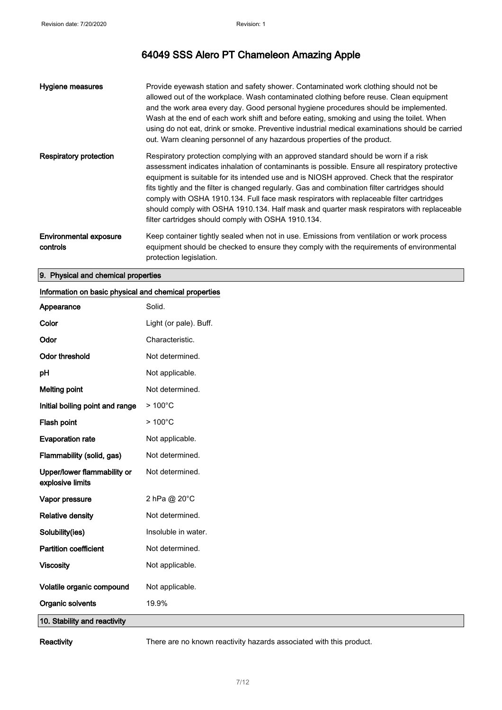| Hygiene measures                          | Provide eyewash station and safety shower. Contaminated work clothing should not be<br>allowed out of the workplace. Wash contaminated clothing before reuse. Clean equipment<br>and the work area every day. Good personal hygiene procedures should be implemented.<br>Wash at the end of each work shift and before eating, smoking and using the toilet. When<br>using do not eat, drink or smoke. Preventive industrial medical examinations should be carried<br>out. Warn cleaning personnel of any hazardous properties of the product.                                                                                        |
|-------------------------------------------|----------------------------------------------------------------------------------------------------------------------------------------------------------------------------------------------------------------------------------------------------------------------------------------------------------------------------------------------------------------------------------------------------------------------------------------------------------------------------------------------------------------------------------------------------------------------------------------------------------------------------------------|
| <b>Respiratory protection</b>             | Respiratory protection complying with an approved standard should be worn if a risk<br>assessment indicates inhalation of contaminants is possible. Ensure all respiratory protective<br>equipment is suitable for its intended use and is NIOSH approved. Check that the respirator<br>fits tightly and the filter is changed regularly. Gas and combination filter cartridges should<br>comply with OSHA 1910.134. Full face mask respirators with replaceable filter cartridges<br>should comply with OSHA 1910.134. Half mask and quarter mask respirators with replaceable<br>filter cartridges should comply with OSHA 1910.134. |
| <b>Environmental exposure</b><br>controls | Keep container tightly sealed when not in use. Emissions from ventilation or work process<br>equipment should be checked to ensure they comply with the requirements of environmental<br>protection legislation.                                                                                                                                                                                                                                                                                                                                                                                                                       |

### 9. Physical and chemical properties

| Information on basic physical and chemical properties |                        |  |
|-------------------------------------------------------|------------------------|--|
| Appearance                                            | Solid.                 |  |
| Color                                                 | Light (or pale). Buff. |  |
| Odor                                                  | Characteristic.        |  |
| <b>Odor threshold</b>                                 | Not determined.        |  |
| pH                                                    | Not applicable.        |  |
| <b>Melting point</b>                                  | Not determined.        |  |
| Initial boiling point and range                       | $>100^{\circ}$ C       |  |
| Flash point                                           | $>100^{\circ}$ C       |  |
| <b>Evaporation rate</b>                               | Not applicable.        |  |
| Flammability (solid, gas)                             | Not determined.        |  |
| Upper/lower flammability or<br>explosive limits       | Not determined.        |  |
| Vapor pressure                                        | 2 hPa @ 20°C           |  |
| <b>Relative density</b>                               | Not determined.        |  |
| Solubility(ies)                                       | Insoluble in water.    |  |
| <b>Partition coefficient</b>                          | Not determined.        |  |
| <b>Viscosity</b>                                      | Not applicable.        |  |
| Volatile organic compound                             | Not applicable.        |  |
| Organic solvents                                      | 19.9%                  |  |
| 10. Stability and reactivity                          |                        |  |

Reactivity There are no known reactivity hazards associated with this product.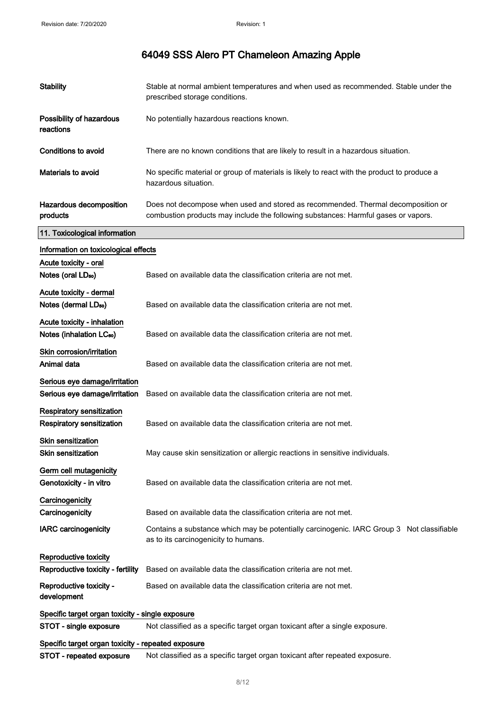| <b>Stability</b>                                       | Stable at normal ambient temperatures and when used as recommended. Stable under the<br>prescribed storage conditions.                                                 |
|--------------------------------------------------------|------------------------------------------------------------------------------------------------------------------------------------------------------------------------|
| Possibility of hazardous<br>reactions                  | No potentially hazardous reactions known.                                                                                                                              |
| <b>Conditions to avoid</b>                             | There are no known conditions that are likely to result in a hazardous situation.                                                                                      |
| Materials to avoid                                     | No specific material or group of materials is likely to react with the product to produce a<br>hazardous situation.                                                    |
| Hazardous decomposition<br>products                    | Does not decompose when used and stored as recommended. Thermal decomposition or<br>combustion products may include the following substances: Harmful gases or vapors. |
| 11. Toxicological information                          |                                                                                                                                                                        |
| Information on toxicological effects                   |                                                                                                                                                                        |
| Acute toxicity - oral                                  |                                                                                                                                                                        |
| Notes (oral LD <sub>50</sub> )                         | Based on available data the classification criteria are not met.                                                                                                       |
| Acute toxicity - dermal                                |                                                                                                                                                                        |
| Notes (dermal LD <sub>50</sub> )                       | Based on available data the classification criteria are not met.                                                                                                       |
| Acute toxicity - inhalation                            |                                                                                                                                                                        |
| Notes (inhalation LC <sub>50</sub> )                   | Based on available data the classification criteria are not met.                                                                                                       |
| Skin corrosion/irritation                              |                                                                                                                                                                        |
| Animal data                                            | Based on available data the classification criteria are not met.                                                                                                       |
| Serious eye damage/irritation                          |                                                                                                                                                                        |
| Serious eye damage/irritation                          | Based on available data the classification criteria are not met.                                                                                                       |
| Respiratory sensitization<br>Respiratory sensitization | Based on available data the classification criteria are not met.                                                                                                       |
| <b>Skin sensitization</b>                              |                                                                                                                                                                        |
| <b>Skin sensitization</b>                              | May cause skin sensitization or allergic reactions in sensitive individuals.                                                                                           |
| Germ cell mutagenicity                                 |                                                                                                                                                                        |
| Genotoxicity - in vitro                                | Based on available data the classification criteria are not met.                                                                                                       |
| Carcinogenicity                                        |                                                                                                                                                                        |
| Carcinogenicity                                        | Based on available data the classification criteria are not met.                                                                                                       |
| <b>IARC</b> carcinogenicity                            | Contains a substance which may be potentially carcinogenic. IARC Group 3 Not classifiable<br>as to its carcinogenicity to humans.                                      |
| Reproductive toxicity                                  |                                                                                                                                                                        |
| Reproductive toxicity - fertility                      | Based on available data the classification criteria are not met.                                                                                                       |
| Reproductive toxicity -<br>development                 | Based on available data the classification criteria are not met.                                                                                                       |
| Specific target organ toxicity - single exposure       |                                                                                                                                                                        |
| STOT - single exposure                                 | Not classified as a specific target organ toxicant after a single exposure.                                                                                            |
| Specific target organ toxicity - repeated exposure     |                                                                                                                                                                        |
| STOT - repeated exposure                               | Not classified as a specific target organ toxicant after repeated exposure.                                                                                            |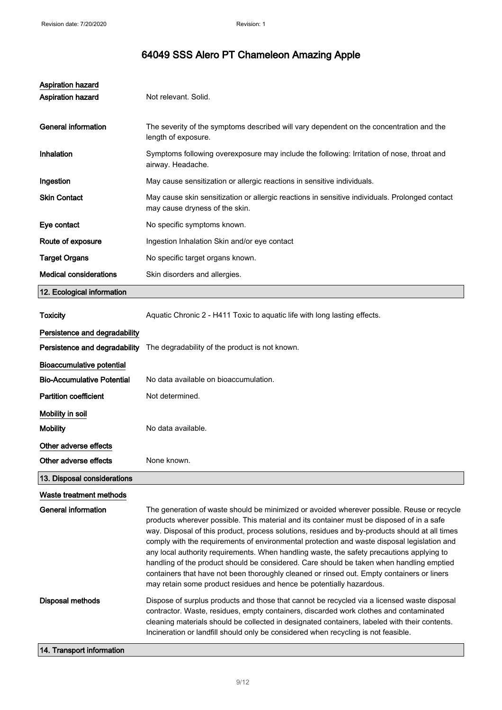| <b>Aspiration hazard</b><br><b>Aspiration hazard</b> | Not relevant. Solid.                                                                                                                                                                                                                                                                                                                                                                                                                                                                                                                                                                                                                                                                                                                                    |
|------------------------------------------------------|---------------------------------------------------------------------------------------------------------------------------------------------------------------------------------------------------------------------------------------------------------------------------------------------------------------------------------------------------------------------------------------------------------------------------------------------------------------------------------------------------------------------------------------------------------------------------------------------------------------------------------------------------------------------------------------------------------------------------------------------------------|
| <b>General information</b>                           | The severity of the symptoms described will vary dependent on the concentration and the<br>length of exposure.                                                                                                                                                                                                                                                                                                                                                                                                                                                                                                                                                                                                                                          |
| <b>Inhalation</b>                                    | Symptoms following overexposure may include the following: Irritation of nose, throat and<br>airway. Headache.                                                                                                                                                                                                                                                                                                                                                                                                                                                                                                                                                                                                                                          |
| Ingestion                                            | May cause sensitization or allergic reactions in sensitive individuals.                                                                                                                                                                                                                                                                                                                                                                                                                                                                                                                                                                                                                                                                                 |
| <b>Skin Contact</b>                                  | May cause skin sensitization or allergic reactions in sensitive individuals. Prolonged contact<br>may cause dryness of the skin.                                                                                                                                                                                                                                                                                                                                                                                                                                                                                                                                                                                                                        |
| Eye contact                                          | No specific symptoms known.                                                                                                                                                                                                                                                                                                                                                                                                                                                                                                                                                                                                                                                                                                                             |
| Route of exposure                                    | Ingestion Inhalation Skin and/or eye contact                                                                                                                                                                                                                                                                                                                                                                                                                                                                                                                                                                                                                                                                                                            |
| <b>Target Organs</b>                                 | No specific target organs known.                                                                                                                                                                                                                                                                                                                                                                                                                                                                                                                                                                                                                                                                                                                        |
| <b>Medical considerations</b>                        | Skin disorders and allergies.                                                                                                                                                                                                                                                                                                                                                                                                                                                                                                                                                                                                                                                                                                                           |
| 12. Ecological information                           |                                                                                                                                                                                                                                                                                                                                                                                                                                                                                                                                                                                                                                                                                                                                                         |
| <b>Toxicity</b>                                      | Aquatic Chronic 2 - H411 Toxic to aquatic life with long lasting effects.                                                                                                                                                                                                                                                                                                                                                                                                                                                                                                                                                                                                                                                                               |
| Persistence and degradability                        |                                                                                                                                                                                                                                                                                                                                                                                                                                                                                                                                                                                                                                                                                                                                                         |
| Persistence and degradability                        | The degradability of the product is not known.                                                                                                                                                                                                                                                                                                                                                                                                                                                                                                                                                                                                                                                                                                          |
| <b>Bioaccumulative potential</b>                     |                                                                                                                                                                                                                                                                                                                                                                                                                                                                                                                                                                                                                                                                                                                                                         |
| <b>Bio-Accumulative Potential</b>                    | No data available on bioaccumulation.                                                                                                                                                                                                                                                                                                                                                                                                                                                                                                                                                                                                                                                                                                                   |
| <b>Partition coefficient</b>                         | Not determined.                                                                                                                                                                                                                                                                                                                                                                                                                                                                                                                                                                                                                                                                                                                                         |
| Mobility in soil                                     |                                                                                                                                                                                                                                                                                                                                                                                                                                                                                                                                                                                                                                                                                                                                                         |
| <b>Mobility</b>                                      | No data available.                                                                                                                                                                                                                                                                                                                                                                                                                                                                                                                                                                                                                                                                                                                                      |
| Other adverse effects                                |                                                                                                                                                                                                                                                                                                                                                                                                                                                                                                                                                                                                                                                                                                                                                         |
| Other adverse effects                                | None known.                                                                                                                                                                                                                                                                                                                                                                                                                                                                                                                                                                                                                                                                                                                                             |
| 13. Disposal considerations                          |                                                                                                                                                                                                                                                                                                                                                                                                                                                                                                                                                                                                                                                                                                                                                         |
| Waste treatment methods                              |                                                                                                                                                                                                                                                                                                                                                                                                                                                                                                                                                                                                                                                                                                                                                         |
| <b>General information</b>                           | The generation of waste should be minimized or avoided wherever possible. Reuse or recycle<br>products wherever possible. This material and its container must be disposed of in a safe<br>way. Disposal of this product, process solutions, residues and by-products should at all times<br>comply with the requirements of environmental protection and waste disposal legislation and<br>any local authority requirements. When handling waste, the safety precautions applying to<br>handling of the product should be considered. Care should be taken when handling emptied<br>containers that have not been thoroughly cleaned or rinsed out. Empty containers or liners<br>may retain some product residues and hence be potentially hazardous. |
| <b>Disposal methods</b><br>14. Transport information | Dispose of surplus products and those that cannot be recycled via a licensed waste disposal<br>contractor. Waste, residues, empty containers, discarded work clothes and contaminated<br>cleaning materials should be collected in designated containers, labeled with their contents.<br>Incineration or landfill should only be considered when recycling is not feasible.                                                                                                                                                                                                                                                                                                                                                                            |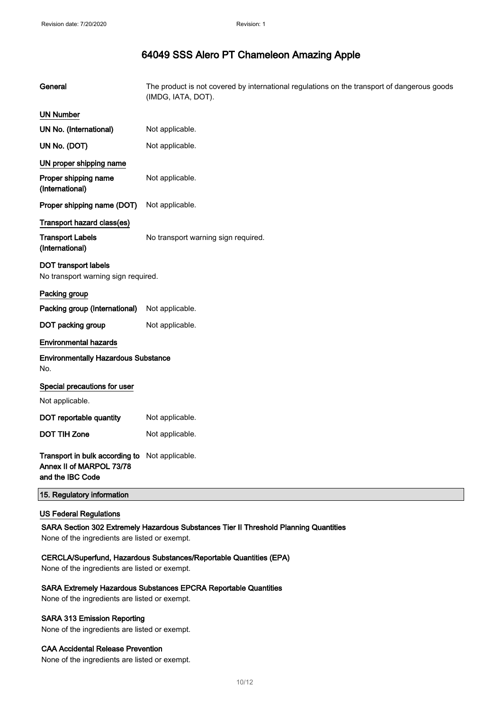| General                                                                        | The product is not covered by international regulations on the transport of dangerous goods<br>(IMDG, IATA, DOT). |
|--------------------------------------------------------------------------------|-------------------------------------------------------------------------------------------------------------------|
| <b>UN Number</b>                                                               |                                                                                                                   |
| UN No. (International)                                                         | Not applicable.                                                                                                   |
| UN No. (DOT)                                                                   | Not applicable.                                                                                                   |
| UN proper shipping name                                                        |                                                                                                                   |
| Proper shipping name<br>(International)                                        | Not applicable.                                                                                                   |
| Proper shipping name (DOT)                                                     | Not applicable.                                                                                                   |
| Transport hazard class(es)                                                     |                                                                                                                   |
| <b>Transport Labels</b><br>(International)                                     | No transport warning sign required.                                                                               |
| DOT transport labels<br>No transport warning sign required.                    |                                                                                                                   |
| Packing group                                                                  |                                                                                                                   |
| Packing group (International)                                                  | Not applicable.                                                                                                   |
| DOT packing group                                                              | Not applicable.                                                                                                   |
| <b>Environmental hazards</b>                                                   |                                                                                                                   |
| <b>Environmentally Hazardous Substance</b><br>No.                              |                                                                                                                   |
| Special precautions for user                                                   |                                                                                                                   |
| Not applicable.                                                                |                                                                                                                   |
| DOT reportable quantity                                                        | Not applicable.                                                                                                   |
| <b>DOT TIH Zone</b>                                                            | Not applicable.                                                                                                   |
| Transport in bulk according to<br>Annex II of MARPOL 73/78<br>and the IBC Code | Not applicable.                                                                                                   |
| 15. Regulatory information                                                     |                                                                                                                   |

### US Federal Regulations

SARA Section 302 Extremely Hazardous Substances Tier II Threshold Planning Quantities

None of the ingredients are listed or exempt.

### CERCLA/Superfund, Hazardous Substances/Reportable Quantities (EPA)

None of the ingredients are listed or exempt.

#### SARA Extremely Hazardous Substances EPCRA Reportable Quantities

None of the ingredients are listed or exempt.

### SARA 313 Emission Reporting

None of the ingredients are listed or exempt.

#### CAA Accidental Release Prevention

None of the ingredients are listed or exempt.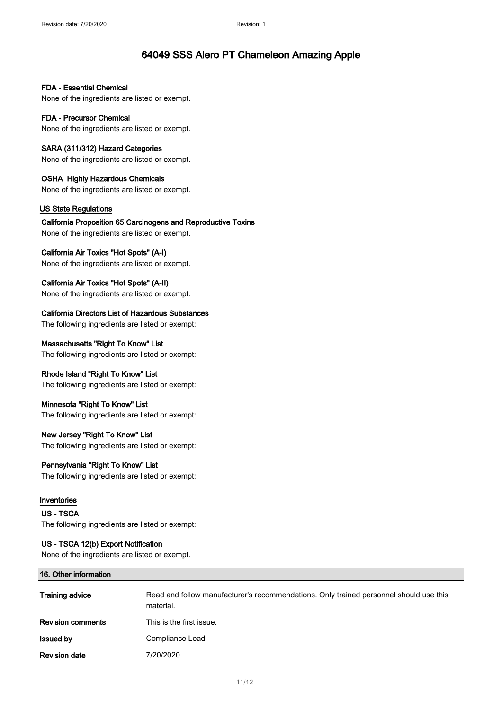FDA - Essential Chemical None of the ingredients are listed or exempt.

FDA - Precursor Chemical None of the ingredients are listed or exempt.

SARA (311/312) Hazard Categories None of the ingredients are listed or exempt.

OSHA Highly Hazardous Chemicals None of the ingredients are listed or exempt.

### US State Regulations

California Proposition 65 Carcinogens and Reproductive Toxins None of the ingredients are listed or exempt.

### California Air Toxics "Hot Spots" (A-I)

None of the ingredients are listed or exempt.

California Air Toxics "Hot Spots" (A-II)

None of the ingredients are listed or exempt.

California Directors List of Hazardous Substances

The following ingredients are listed or exempt:

### Massachusetts "Right To Know" List

The following ingredients are listed or exempt:

### Rhode Island "Right To Know" List

The following ingredients are listed or exempt:

### Minnesota "Right To Know" List

The following ingredients are listed or exempt:

### New Jersey "Right To Know" List

The following ingredients are listed or exempt:

### Pennsylvania "Right To Know" List

The following ingredients are listed or exempt:

### Inventories

US - TSCA The following ingredients are listed or exempt:

### US - TSCA 12(b) Export Notification

None of the ingredients are listed or exempt.

| <b>Training advice</b>   | Read and follow manufacturer's recommendations. Only trained personnel should use this<br>material. |
|--------------------------|-----------------------------------------------------------------------------------------------------|
| <b>Revision comments</b> | This is the first issue.                                                                            |
| <b>Issued by</b>         | Compliance Lead                                                                                     |
| <b>Revision date</b>     | 7/20/2020                                                                                           |